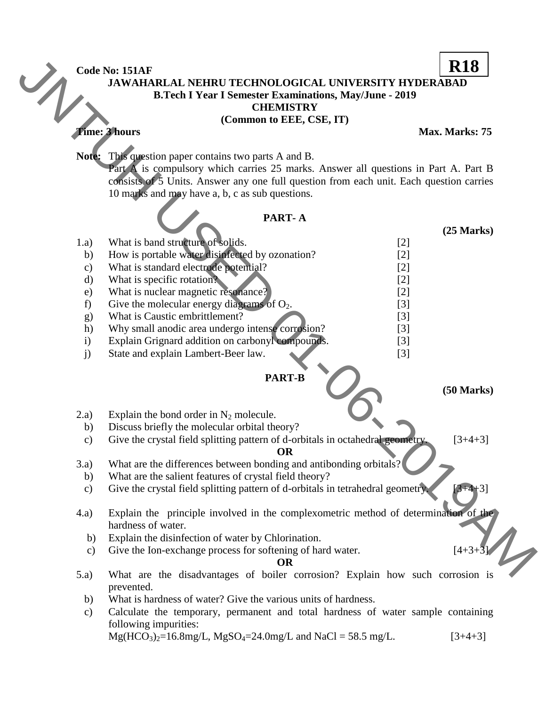## **JAWAHARLAL NEHRU TECHNOLOGICAL UNIVERSITY HYDERABAD B.Tech I Year I Semester Examinations, May/June - 2019 R18**

|                                                                      |                                                               | Code No: 151AF                                                                          | <b>R18</b>           |  |  |  |  |
|----------------------------------------------------------------------|---------------------------------------------------------------|-----------------------------------------------------------------------------------------|----------------------|--|--|--|--|
|                                                                      |                                                               | <b>JAWAHARLAL NEHRU TECHNOLOGICAL UNIVERSITY HYDERABAD</b>                              |                      |  |  |  |  |
|                                                                      | <b>B.Tech I Year I Semester Examinations, May/June - 2019</b> |                                                                                         |                      |  |  |  |  |
|                                                                      | <b>CHEMISTRY</b>                                              |                                                                                         |                      |  |  |  |  |
|                                                                      |                                                               | (Common to EEE, CSE, IT)                                                                |                      |  |  |  |  |
|                                                                      |                                                               | <b>Fime: 3 hours</b>                                                                    | Max. Marks: 75       |  |  |  |  |
|                                                                      |                                                               |                                                                                         |                      |  |  |  |  |
|                                                                      | Note:                                                         | This question paper contains two parts A and B.                                         |                      |  |  |  |  |
|                                                                      |                                                               | Part A is compulsory which carries 25 marks. Answer all questions in Part A. Part B     |                      |  |  |  |  |
|                                                                      |                                                               | consists of 5 Units. Answer any one full question from each unit. Each question carries |                      |  |  |  |  |
|                                                                      |                                                               | 10 marks and may have a, b, c as sub questions.                                         |                      |  |  |  |  |
|                                                                      |                                                               | PART-A                                                                                  |                      |  |  |  |  |
|                                                                      |                                                               |                                                                                         | $(25$ Marks $)$      |  |  |  |  |
|                                                                      | 1.a)                                                          | What is band structure of solids.<br>$[2]$                                              |                      |  |  |  |  |
|                                                                      | b)                                                            | How is portable water disinfected by ozonation?<br>$[2]$                                |                      |  |  |  |  |
|                                                                      | $\mathbf{c})$                                                 | What is standard electrode potential?<br>$[2]$                                          |                      |  |  |  |  |
|                                                                      | $\mathbf{d}$                                                  | What is specific rotation?<br>$[2]$                                                     |                      |  |  |  |  |
|                                                                      | e)                                                            | What is nuclear magnetic resonance?<br>$[2]$                                            |                      |  |  |  |  |
|                                                                      | f)                                                            | Give the molecular energy diagrams of $O_2$ .<br>$[3]$                                  |                      |  |  |  |  |
|                                                                      | g)                                                            | What is Caustic embrittlement?<br>$[3]$                                                 |                      |  |  |  |  |
|                                                                      | h)                                                            | Why small anodic area undergo intense corrosion?<br>$[3]$                               |                      |  |  |  |  |
|                                                                      | $\mathbf{i}$                                                  | Explain Grignard addition on carbonyl compounds.<br>$[3]$                               |                      |  |  |  |  |
|                                                                      | j)                                                            | State and explain Lambert-Beer law.<br>$[3]$                                            |                      |  |  |  |  |
|                                                                      |                                                               | <b>PART-B</b>                                                                           |                      |  |  |  |  |
|                                                                      |                                                               |                                                                                         | $(50 \text{ Marks})$ |  |  |  |  |
|                                                                      |                                                               |                                                                                         |                      |  |  |  |  |
|                                                                      | 2.a)                                                          | Explain the bond order in $N_2$ molecule.                                               |                      |  |  |  |  |
|                                                                      | b)                                                            | Discuss briefly the molecular orbital theory?                                           |                      |  |  |  |  |
|                                                                      | $\mathbf{c})$                                                 | Give the crystal field splitting pattern of d-orbitals in octahedral geometry.          | $[3+4+3]$            |  |  |  |  |
|                                                                      |                                                               | <b>OR</b>                                                                               |                      |  |  |  |  |
|                                                                      | (3.a)                                                         | What are the differences between bonding and antibonding orbitals?                      |                      |  |  |  |  |
|                                                                      | b)                                                            | What are the salient features of crystal field theory?                                  |                      |  |  |  |  |
|                                                                      | $\mathbf{c})$                                                 | Give the crystal field splitting pattern of d-orbitals in tetrahedral geometry.         | $+4+3$ ]             |  |  |  |  |
|                                                                      | (4.a)                                                         | Explain the principle involved in the complexometric method of determination of the     |                      |  |  |  |  |
|                                                                      | hardness of water.                                            |                                                                                         |                      |  |  |  |  |
|                                                                      | b)                                                            | Explain the disinfection of water by Chlorination.                                      |                      |  |  |  |  |
|                                                                      | $\mathbf{c})$                                                 | Give the Ion-exchange process for softening of hard water.                              | $[4+3+3]$            |  |  |  |  |
|                                                                      |                                                               | <b>OR</b>                                                                               |                      |  |  |  |  |
|                                                                      | (5.a)                                                         | What are the disadvantages of boiler corrosion? Explain how such corrosion is           |                      |  |  |  |  |
|                                                                      |                                                               | prevented.                                                                              |                      |  |  |  |  |
| What is hardness of water? Give the various units of hardness.<br>b) |                                                               |                                                                                         |                      |  |  |  |  |
|                                                                      | $\mathbf{c})$                                                 | Calculate the temporary, permanent and total hardness of water sample containing        |                      |  |  |  |  |
|                                                                      |                                                               | following impurities:                                                                   |                      |  |  |  |  |
|                                                                      |                                                               | $Mg(HCO3)2=16.8mg/L, MgSO4=24.0mg/L and NaCl = 58.5 mg/L.$                              | $[3+4+3]$            |  |  |  |  |